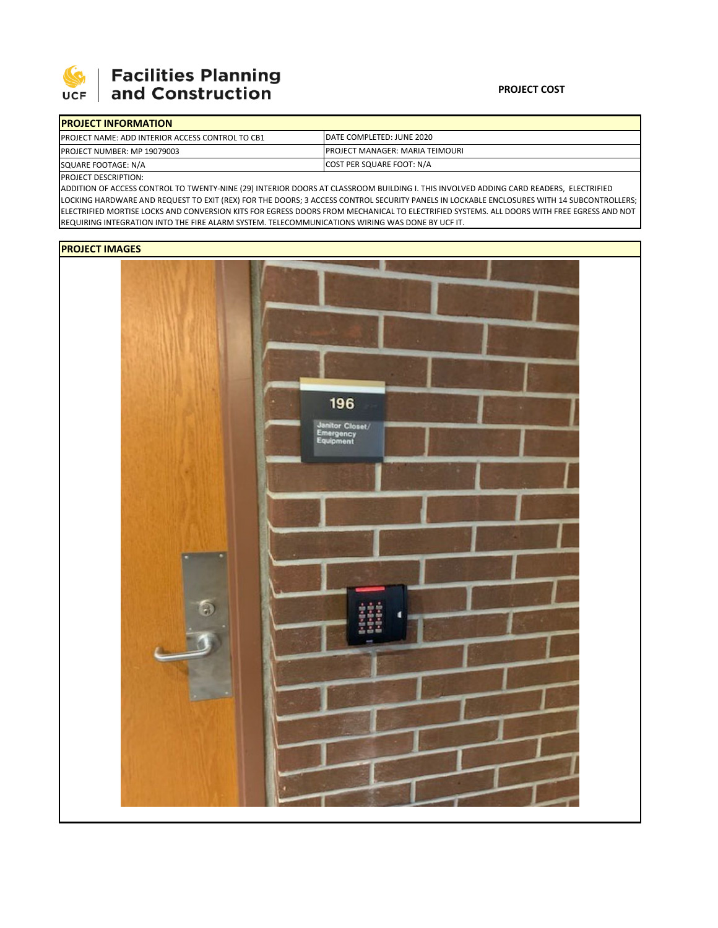

## **Facilities Planning<br>and Construction**

| <b>IPROJECT INFORMATION</b>                              |                                         |  |  |
|----------------------------------------------------------|-----------------------------------------|--|--|
| <b>IPROJECT NAME: ADD INTERIOR ACCESS CONTROL TO CB1</b> | IDATE COMPLETED: JUNE 2020              |  |  |
| <b>PROJECT NUMBER: MP 19079003</b>                       | <b>IPROJECT MANAGER: MARIA TEIMOURI</b> |  |  |
| SQUARE FOOTAGE: N/A                                      | COST PER SQUARE FOOT: N/A               |  |  |

PROJECT DESCRIPTION:

ADDITION OF ACCESS CONTROL TO TWENTY‐NINE (29) INTERIOR DOORS AT CLASSROOM BUILDING I. THIS INVOLVED ADDING CARD READERS, ELECTRIFIED LOCKING HARDWARE AND REQUEST TO EXIT (REX) FOR THE DOORS; 3 ACCESS CONTROL SECURITY PANELS IN LOCKABLE ENCLOSURES WITH 14 SUBCONTROLLERS; ELECTRIFIED MORTISE LOCKS AND CONVERSION KITS FOR EGRESS DOORS FROM MECHANICAL TO ELECTRIFIED SYSTEMS. ALL DOORS WITH FREE EGRESS AND NOT REQUIRING INTEGRATION INTO THE FIRE ALARM SYSTEM. TELECOMMUNICATIONS WIRING WAS DONE BY UCF IT.

## **PROJECT IMAGES**